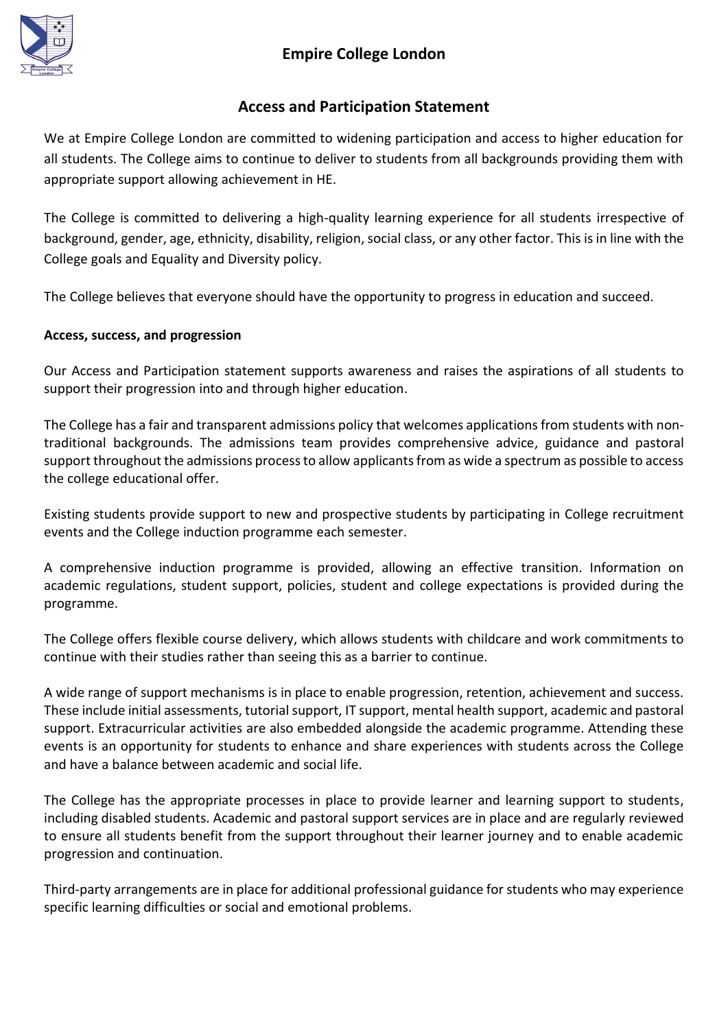

### **Empire College London**

### **Access and Participation Statement**

We at Empire College London are committed to widening participation and access to higher education for all students. The College aims to continue to deliver to students from all backgrounds providing them with appropriate support allowing achievement in HE.

The College is committed to delivering a high-quality learning experience for all students irrespective of background, gender, age, ethnicity, disability, religion, social class, or any other factor. This is in line with the College goals and Equality and Diversity policy.

The College believes that everyone should have the opportunity to progress in education and succeed.

#### **Access, success, and progression**

Our Access and Participation statement supports awareness and raises the aspirations of all students to support their progression into and through higher education.

The College has a fair and transparent admissions policy that welcomes applications from students with nontraditional backgrounds. The admissions team provides comprehensive advice, guidance and pastoral support throughout the admissions process to allow applicants from as wide a spectrum as possible to access the college educational offer.

Existing students provide support to new and prospective students by participating in College recruitment events and the College induction programme each semester.

A comprehensive induction programme is provided, allowing an effective transition. Information on academic regulations, student support, policies, student and college expectations is provided during the programme.

The College offers flexible course delivery, which allows students with childcare and work commitments to continue with their studies rather than seeing this as a barrier to continue.

A wide range of support mechanisms is in place to enable progression, retention, achievement and success. These include initial assessments, tutorial support, IT support, mental health support, academic and pastoral support. Extracurricular activities are also embedded alongside the academic programme. Attending these events is an opportunity for students to enhance and share experiences with students across the College and have a balance between academic and social life.

The College has the appropriate processes in place to provide learner and learning support to students, including disabled students. Academic and pastoral support services are in place and are regularly reviewed to ensure all students benefit from the support throughout their learner journey and to enable academic progression and continuation.

Third-party arrangements are in place for additional professional guidance for students who may experience specific learning difficulties or social and emotional problems.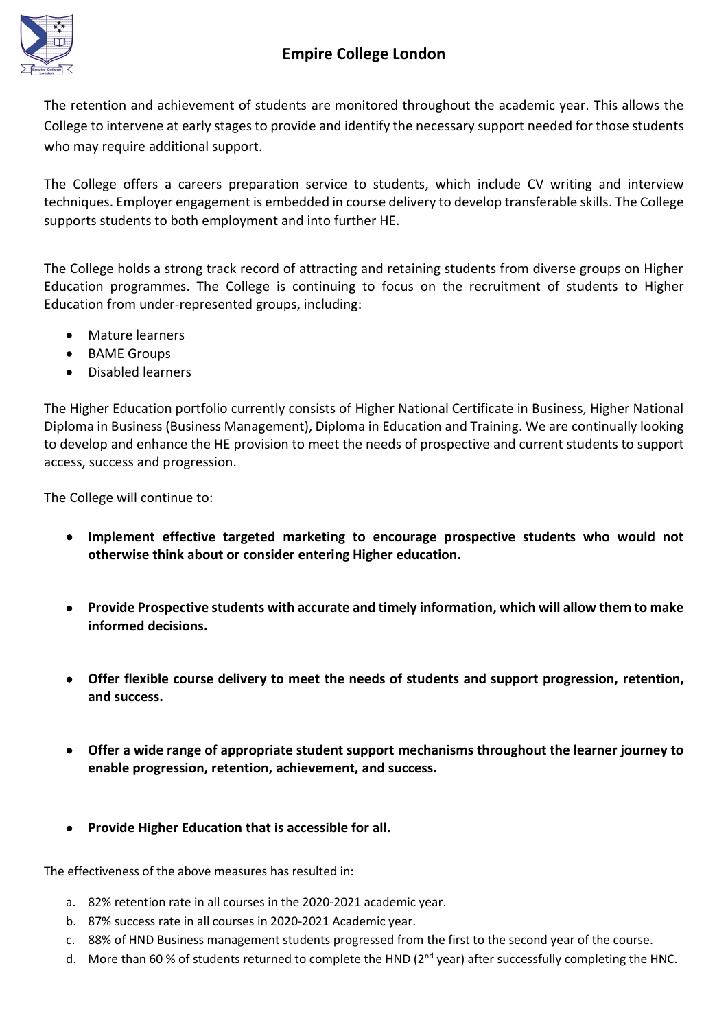## **Empire College London**



The retention and achievement of students are monitored throughout the academic year. This allows the College to intervene at early stages to provide and identify the necessary support needed for those students who may require additional support.

The College offers a careers preparation service to students, which include CV writing and interview techniques. Employer engagement is embedded in course delivery to develop transferable skills. The College supports students to both employment and into further HE.

The College holds a strong track record of attracting and retaining students from diverse groups on Higher Education programmes. The College is continuing to focus on the recruitment of students to Higher Education from under-represented groups, including:

- Mature learners
- BAME Groups
- Disabled learners

The Higher Education portfolio currently consists of Higher National Certificate in Business, Higher National Diploma in Business (Business Management), Diploma in Education and Training. We are continually looking to develop and enhance the HE provision to meet the needs of prospective and current students to support access, success and progression.

The College will continue to:

- **Implement effective targeted marketing to encourage prospective students who would not otherwise think about or consider entering Higher education.**
- **Provide Prospective students with accurate and timely information, which will allow them to make informed decisions.**
- **Offer flexible course delivery to meet the needs of students and support progression, retention, and success.**
- **Offer a wide range of appropriate student support mechanisms throughout the learner journey to enable progression, retention, achievement, and success.**
- **Provide Higher Education that is accessible for all.**

The effectiveness of the above measures has resulted in:

- a. 82% retention rate in all courses in the 2020-2021 academic year.
- b. 87% success rate in all courses in 2020-2021 Academic year.
- c. 88% of HND Business management students progressed from the first to the second year of the course.
- d. More than 60 % of students returned to complete the HND ( $2^{nd}$  year) after successfully completing the HNC.